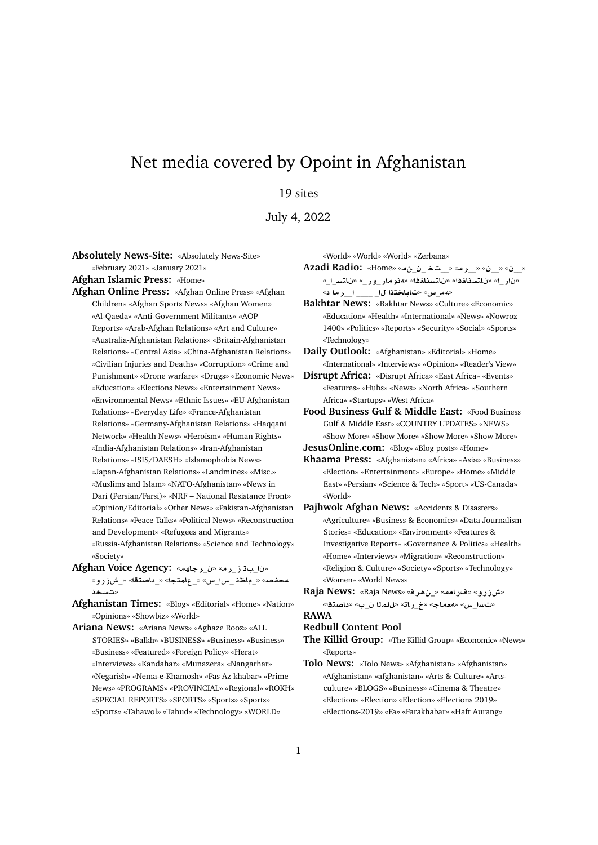## Net media covered by Opoint in Afghanistan

## 19 sites

July 4, 2022

**Absolutely News-Site:** «Absolutely News-Site» «February 2021» «January 2021»

**Afghan Islamic Press:** «Home»

- **Afghan Online Press:** «Afghan Online Press» «Afghan Children» «Afghan Sports News» «Afghan Women» «Al-Qaeda» «Anti-Government Militants» «AOP Reports» «Arab-Afghan Relations» «Art and Culture» «Australia-Afghanistan Relations» «Britain-Afghanistan Relations» «Central Asia» «China-Afghanistan Relations» «Civilian Injuries and Deaths» «Corruption» «Crime and Punishment» «Drone warfare» «Drugs» «Economic News» «Education» «Elections News» «Entertainment News» «Environmental News» «Ethnic Issues» «EU-Afghanistan Relations» «Everyday Life» «France-Afghanistan Relations» «Germany-Afghanistan Relations» «Haqqani Network» «Health News» «Heroism» «Human Rights» «India-Afghanistan Relations» «Iran-Afghanistan Relations» «ISIS/DAESH» «Islamophobia News» «Japan-Afghanistan Relations» «Landmines» «Misc.» «Muslims and Islam» «NATO-Afghanistan» «News in Dari (Persian/Farsi)» «NRF – National Resistance Front» «Opinion/Editorial» «Other News» «Pakistan-Afghanistan Relations» «Peace Talks» «Political News» «Reconstruction and Development» «Refugees and Migrants» «Russia-Afghanistan Relations» «Science and Technology» «Society»
- **Afghan Voice Agency:** «**hAr**\_» «**r**\_**E** \_» «**¤CEM**\_» «**tOA** \_» «**tmA**\_» «**x**\_**x**\_ **\A**\_» «**}f¢ s** »
- **Afghanistan Times:** «Blog» «Editorial» «Home» «Nation» «Opinions» «Showbiz» «World»
- **Ariana News:** «Ariana News» «Aghaze Rooz» «ALL STORIES» «Balkh» «BUSINESS» «Business» «Business» «Business» «Featured» «Foreign Policy» «Herat» «Interviews» «Kandahar» «Munazera» «Nangarhar» «Negarish» «Nema-e-Khamosh» «Pas Az khabar» «Prime News» «PROGRAMS» «PROVINCIAL» «Regional» «ROKH» «SPECIAL REPORTS» «SPORTS» «Sports» «Sports» «Sports» «Tahawol» «Tahud» «Technology» «WORLD»

«World» «World» «World» «Zerbana»

**Azadi Radio:** «Home» «\_\_ \_\_» «**r**\_\_» «\_\_» «\_\_» «\_\_**FtA** » «\_**C¤**\_**Cw¢**» «**AstA** » «**AstA** » «\_**C** » «*مع\_س»* **«تاباختذا ل\_ \_\_\_ ا\_\_ر ما د»** 

**Bakhtar News:** «Bakhtar News» «Culture» «Economic» «Education» «Health» «International» «News» «Nowroz 1400» «Politics» «Reports» «Security» «Social» «Sports» «Technology»

**Daily Outlook:** «Afghanistan» «Editorial» «Home» «International» «Interviews» «Opinion» «Reader's View»

**Disrupt Africa:** «Disrupt Africa» «East Africa» «Events» «Features» «Hubs» «News» «North Africa» «Southern Africa» «Startups» «West Africa»

**Food Business Gulf & Middle East:** «Food Business Gulf & Middle East» «COUNTRY UPDATES» «NEWS» «Show More» «Show More» «Show More» «Show More» **JesusOnline.com:** «Blog» «Blog posts» «Home»

- **Khaama Press:** «Afghanistan» «Africa» «Asia» «Business» «Election» «Entertainment» «Europe» «Home» «Middle East» «Persian» «Science & Tech» «Sport» «US-Canada» «World»
- **Pajhwok Afghan News:** «Accidents & Disasters» «Agriculture» «Business & Economics» «Data Journalism Stories» «Education» «Environment» «Features & Investigative Reports» «Governance & Politics» «Health» «Home» «Interviews» «Migration» «Reconstruction» «Religion & Culture» «Society» «Sports» «Technology» «Women» «World News»
- **Raja News:** «Raja News» «**r¡**\_» «**`AC**» «**¤CEM**» «**ت**سا\_س» «معماج» «خ\_ر\ت» «للمذا ن\_ب» «داصتقا» **RAWA**

## **Redbull Content Pool**

**The Killid Group:** «The Killid Group» «Economic» «News» «Reports»

**Tolo News:** «Tolo News» «Afghanistan» «Afghanistan» «Afghanistan» «afghanistan» «Arts & Culture» «Artsculture» «BLOGS» «Business» «Cinema & Theatre» «Election» «Election» «Election» «Elections 2019» «Elections-2019» «Fa» «Farakhabar» «Haft Aurang»